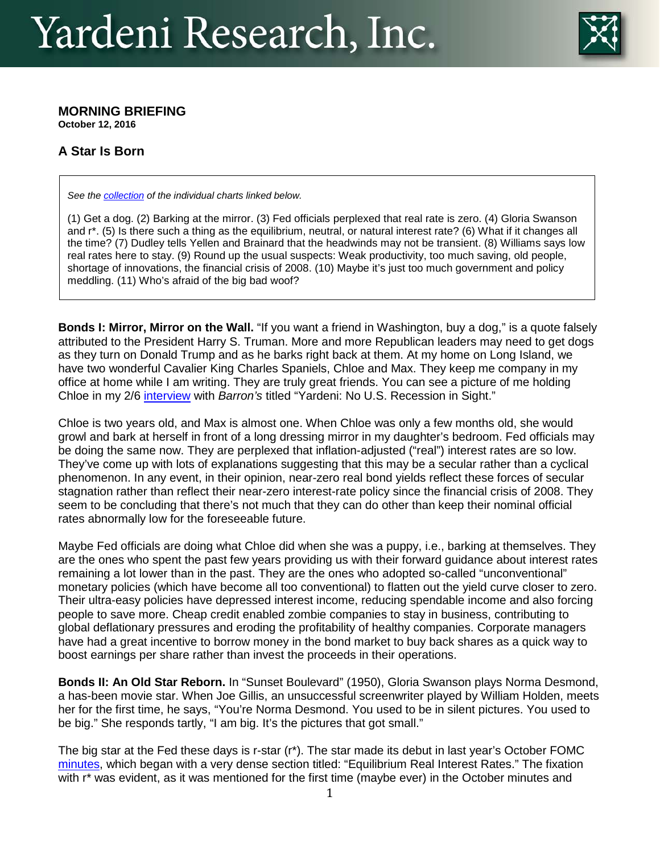

#### **MORNING BRIEFING October 12, 2016**

# **A Star Is Born**

*See the [collection](http://www.yardeni.com/pub/CC_20161012.pdf) of the individual charts linked below.* 

(1) Get a dog. (2) Barking at the mirror. (3) Fed officials perplexed that real rate is zero. (4) Gloria Swanson and r\*. (5) Is there such a thing as the equilibrium, neutral, or natural interest rate? (6) What if it changes all the time? (7) Dudley tells Yellen and Brainard that the headwinds may not be transient. (8) Williams says low real rates here to stay. (9) Round up the usual suspects: Weak productivity, too much saving, old people, shortage of innovations, the financial crisis of 2008. (10) Maybe it's just too much government and policy meddling. (11) Who's afraid of the big bad woof?

**Bonds I: Mirror, Mirror on the Wall.** "If you want a friend in Washington, buy a dog," is a quote falsely attributed to the President Harry S. Truman. More and more Republican leaders may need to get dogs as they turn on Donald Trump and as he barks right back at them. At my home on Long Island, we have two wonderful Cavalier King Charles Spaniels, Chloe and Max. They keep me company in my office at home while I am writing. They are truly great friends. You can see a picture of me holding Chloe in my 2/6 [interview](http://www.barrons.com/articles/yardeni-no-u-s-recession-in-sight-1454736560) with *Barron's* titled "Yardeni: No U.S. Recession in Sight."

Chloe is two years old, and Max is almost one. When Chloe was only a few months old, she would growl and bark at herself in front of a long dressing mirror in my daughter's bedroom. Fed officials may be doing the same now. They are perplexed that inflation-adjusted ("real") interest rates are so low. They've come up with lots of explanations suggesting that this may be a secular rather than a cyclical phenomenon. In any event, in their opinion, near-zero real bond yields reflect these forces of secular stagnation rather than reflect their near-zero interest-rate policy since the financial crisis of 2008. They seem to be concluding that there's not much that they can do other than keep their nominal official rates abnormally low for the foreseeable future.

Maybe Fed officials are doing what Chloe did when she was a puppy, i.e., barking at themselves. They are the ones who spent the past few years providing us with their forward guidance about interest rates remaining a lot lower than in the past. They are the ones who adopted so-called "unconventional" monetary policies (which have become all too conventional) to flatten out the yield curve closer to zero. Their ultra-easy policies have depressed interest income, reducing spendable income and also forcing people to save more. Cheap credit enabled zombie companies to stay in business, contributing to global deflationary pressures and eroding the profitability of healthy companies. Corporate managers have had a great incentive to borrow money in the bond market to buy back shares as a quick way to boost earnings per share rather than invest the proceeds in their operations.

**Bonds II: An Old Star Reborn.** In "Sunset Boulevard" (1950), Gloria Swanson plays Norma Desmond, a has-been movie star. When Joe Gillis, an unsuccessful screenwriter played by William Holden, meets her for the first time, he says, "You're Norma Desmond. You used to be in silent pictures. You used to be big." She responds tartly, "I am big. It's the pictures that got small."

The big star at the Fed these days is r-star (r\*). The star made its debut in last year's October FOMC [minutes,](http://www.federalreserve.gov/monetarypolicy/files/fomcminutes20151028.pdf) which began with a very dense section titled: "Equilibrium Real Interest Rates." The fixation with r<sup>\*</sup> was evident, as it was mentioned for the first time (maybe ever) in the October minutes and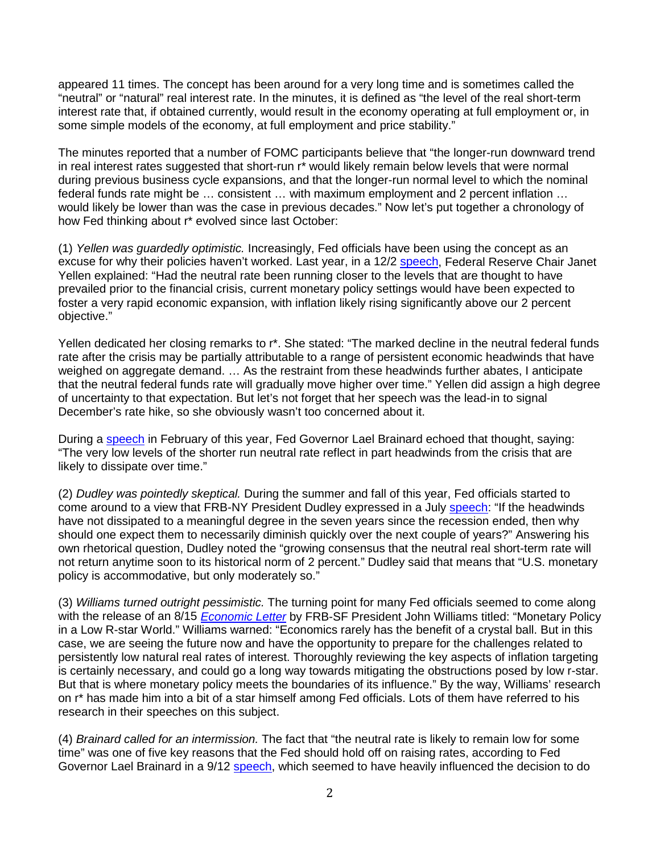appeared 11 times. The concept has been around for a very long time and is sometimes called the "neutral" or "natural" real interest rate. In the minutes, it is defined as "the level of the real short-term interest rate that, if obtained currently, would result in the economy operating at full employment or, in some simple models of the economy, at full employment and price stability."

The minutes reported that a number of FOMC participants believe that "the longer-run downward trend in real interest rates suggested that short-run r\* would likely remain below levels that were normal during previous business cycle expansions, and that the longer-run normal level to which the nominal federal funds rate might be … consistent … with maximum employment and 2 percent inflation … would likely be lower than was the case in previous decades." Now let's put together a chronology of how Fed thinking about r\* evolved since last October:

(1) *Yellen was guardedly optimistic.* Increasingly, Fed officials have been using the concept as an excuse for why their policies haven't worked. Last year, in a 12/2 [speech,](http://www.federalreserve.gov/newsevents/speech/yellen20151202a.htm) Federal Reserve Chair Janet Yellen explained: "Had the neutral rate been running closer to the levels that are thought to have prevailed prior to the financial crisis, current monetary policy settings would have been expected to foster a very rapid economic expansion, with inflation likely rising significantly above our 2 percent objective."

Yellen dedicated her closing remarks to r\*. She stated: "The marked decline in the neutral federal funds rate after the crisis may be partially attributable to a range of persistent economic headwinds that have weighed on aggregate demand. … As the restraint from these headwinds further abates, I anticipate that the neutral federal funds rate will gradually move higher over time." Yellen did assign a high degree of uncertainty to that expectation. But let's not forget that her speech was the lead-in to signal December's rate hike, so she obviously wasn't too concerned about it.

During a [speech](http://www.federalreserve.gov/newsevents/speech/brainard20160226a.htm) in February of this year, Fed Governor Lael Brainard echoed that thought, saying: "The very low levels of the shorter run neutral rate reflect in part headwinds from the crisis that are likely to dissipate over time."

(2) *Dudley was pointedly skeptical.* During the summer and fall of this year, Fed officials started to come around to a view that FRB-NY President Dudley expressed in a July [speech:](https://www.newyorkfed.org/newsevents/speeches/2016/dud160731a) "If the headwinds have not dissipated to a meaningful degree in the seven years since the recession ended, then why should one expect them to necessarily diminish quickly over the next couple of years?" Answering his own rhetorical question, Dudley noted the "growing consensus that the neutral real short-term rate will not return anytime soon to its historical norm of 2 percent." Dudley said that means that "U.S. monetary policy is accommodative, but only moderately so."

(3) *Williams turned outright pessimistic.* The turning point for many Fed officials seemed to come along with the release of an 8/15 *[Economic Letter](http://www.frbsf.org/economic-research/publications/economic-letter/2016/august/monetary-policy-and-low-r-star-natural-rate-of-interest/)* by FRB-SF President John Williams titled: "Monetary Policy in a Low R-star World." Williams warned: "Economics rarely has the benefit of a crystal ball. But in this case, we are seeing the future now and have the opportunity to prepare for the challenges related to persistently low natural real rates of interest. Thoroughly reviewing the key aspects of inflation targeting is certainly necessary, and could go a long way towards mitigating the obstructions posed by low r-star. But that is where monetary policy meets the boundaries of its influence." By the way, Williams' research on r\* has made him into a bit of a star himself among Fed officials. Lots of them have referred to his research in their speeches on this subject.

(4) *Brainard called for an intermission.* The fact that "the neutral rate is likely to remain low for some time" was one of five key reasons that the Fed should hold off on raising rates, according to Fed Governor Lael Brainard in a 9/12 [speech,](http://www.federalreserve.gov/newsevents/speech/brainard20160912a.htm) which seemed to have heavily influenced the decision to do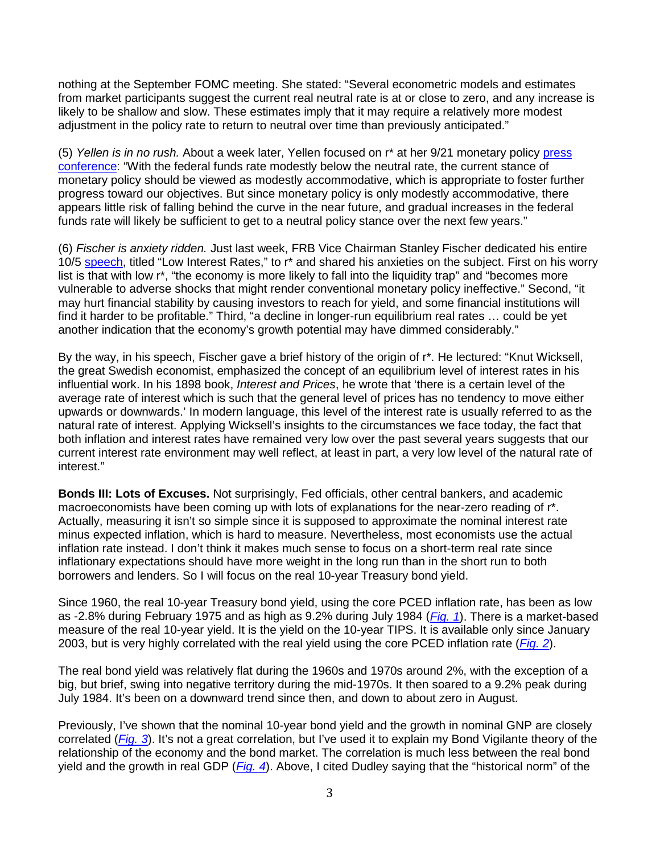nothing at the September FOMC meeting. She stated: "Several econometric models and estimates from market participants suggest the current real neutral rate is at or close to zero, and any increase is likely to be shallow and slow. These estimates imply that it may require a relatively more modest adjustment in the policy rate to return to neutral over time than previously anticipated."

(5) *Yellen is in no rush.* About a week later, Yellen focused on r\* at her 9/21 monetary policy [press](http://www.federalreserve.gov/mediacenter/files/FOMCpresconf20160921.pdf)  [conference:](http://www.federalreserve.gov/mediacenter/files/FOMCpresconf20160921.pdf) "With the federal funds rate modestly below the neutral rate, the current stance of monetary policy should be viewed as modestly accommodative, which is appropriate to foster further progress toward our objectives. But since monetary policy is only modestly accommodative, there appears little risk of falling behind the curve in the near future, and gradual increases in the federal funds rate will likely be sufficient to get to a neutral policy stance over the next few years."

(6) *Fischer is anxiety ridden.* Just last week, FRB Vice Chairman Stanley Fischer dedicated his entire 10/5 [speech,](http://www.federalreserve.gov/newsevents/speech/fischer20161005a.htm) titled "Low Interest Rates," to r<sup>\*</sup> and shared his anxieties on the subject. First on his worry list is that with low r<sup>\*</sup>, "the economy is more likely to fall into the liquidity trap" and "becomes more vulnerable to adverse shocks that might render conventional monetary policy ineffective." Second, "it may hurt financial stability by causing investors to reach for yield, and some financial institutions will find it harder to be profitable." Third, "a decline in longer-run equilibrium real rates … could be yet another indication that the economy's growth potential may have dimmed considerably."

By the way, in his speech, Fischer gave a brief history of the origin of r\*. He lectured: "Knut Wicksell, the great Swedish economist, emphasized the concept of an equilibrium level of interest rates in his influential work. In his 1898 book, *Interest and Prices*, he wrote that 'there is a certain level of the average rate of interest which is such that the general level of prices has no tendency to move either upwards or downwards.' In modern language, this level of the interest rate is usually referred to as the natural rate of interest. Applying Wicksell's insights to the circumstances we face today, the fact that both inflation and interest rates have remained very low over the past several years suggests that our current interest rate environment may well reflect, at least in part, a very low level of the natural rate of interest."

**Bonds III: Lots of Excuses.** Not surprisingly, Fed officials, other central bankers, and academic macroeconomists have been coming up with lots of explanations for the near-zero reading of r\*. Actually, measuring it isn't so simple since it is supposed to approximate the nominal interest rate minus expected inflation, which is hard to measure. Nevertheless, most economists use the actual inflation rate instead. I don't think it makes much sense to focus on a short-term real rate since inflationary expectations should have more weight in the long run than in the short run to both borrowers and lenders. So I will focus on the real 10-year Treasury bond yield.

Since 1960, the real 10-year Treasury bond yield, using the core PCED inflation rate, has been as low as -2.8% during February 1975 and as high as 9.2% during July 1984 (*[Fig. 1](http://www.yardeni.com/pub/tc_20161012_1.png)*). There is a market-based measure of the real 10-year yield. It is the yield on the 10-year TIPS. It is available only since January 2003, but is very highly correlated with the real yield using the core PCED inflation rate (*[Fig. 2](http://www.yardeni.com/pub/tc_20161012_2.png)*).

The real bond yield was relatively flat during the 1960s and 1970s around 2%, with the exception of a big, but brief, swing into negative territory during the mid-1970s. It then soared to a 9.2% peak during July 1984. It's been on a downward trend since then, and down to about zero in August.

Previously, I've shown that the nominal 10-year bond yield and the growth in nominal GNP are closely correlated (*[Fig. 3](http://www.yardeni.com/pub/tc_20161012_3.png)*). It's not a great correlation, but I've used it to explain my Bond Vigilante theory of the relationship of the economy and the bond market. The correlation is much less between the real bond yield and the growth in real GDP (*[Fig. 4](http://www.yardeni.com/pub/tc_20161012_4.png)*). Above, I cited Dudley saying that the "historical norm" of the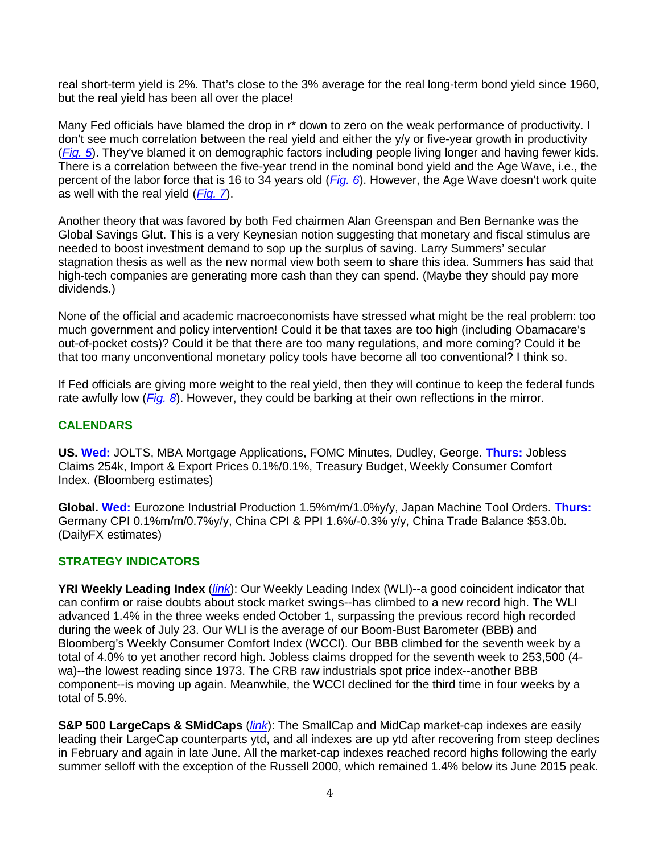real short-term yield is 2%. That's close to the 3% average for the real long-term bond yield since 1960, but the real yield has been all over the place!

Many Fed officials have blamed the drop in r\* down to zero on the weak performance of productivity. I don't see much correlation between the real yield and either the y/y or five-year growth in productivity (*[Fig. 5](http://www.yardeni.com/pub/tc_20161012_5.png)*). They've blamed it on demographic factors including people living longer and having fewer kids. There is a correlation between the five-year trend in the nominal bond yield and the Age Wave, i.e., the percent of the labor force that is 16 to 34 years old (*[Fig. 6](http://www.yardeni.com/pub/tc_20161012_6.png)*). However, the Age Wave doesn't work quite as well with the real yield (*[Fig. 7](http://www.yardeni.com/pub/tc_20161012_7.png)*).

Another theory that was favored by both Fed chairmen Alan Greenspan and Ben Bernanke was the Global Savings Glut. This is a very Keynesian notion suggesting that monetary and fiscal stimulus are needed to boost investment demand to sop up the surplus of saving. Larry Summers' secular stagnation thesis as well as the new normal view both seem to share this idea. Summers has said that high-tech companies are generating more cash than they can spend. (Maybe they should pay more dividends.)

None of the official and academic macroeconomists have stressed what might be the real problem: too much government and policy intervention! Could it be that taxes are too high (including Obamacare's out-of-pocket costs)? Could it be that there are too many regulations, and more coming? Could it be that too many unconventional monetary policy tools have become all too conventional? I think so.

If Fed officials are giving more weight to the real yield, then they will continue to keep the federal funds rate awfully low (*[Fig. 8](http://www.yardeni.com/pub/tc_20161012_8.png)*). However, they could be barking at their own reflections in the mirror.

### **CALENDARS**

**US. Wed:** JOLTS, MBA Mortgage Applications, FOMC Minutes, Dudley, George. **Thurs:** Jobless Claims 254k, Import & Export Prices 0.1%/0.1%, Treasury Budget, Weekly Consumer Comfort Index. (Bloomberg estimates)

**Global. Wed:** Eurozone Industrial Production 1.5%m/m/1.0%y/y, Japan Machine Tool Orders. **Thurs:** Germany CPI 0.1%m/m/0.7%y/y, China CPI & PPI 1.6%/-0.3% y/y, China Trade Balance \$53.0b. (DailyFX estimates)

#### **STRATEGY INDICATORS**

**YRI Weekly Leading Index** (*[link](http://www.yardeni.com/Pub/stmktfsmi.pdf)*): Our Weekly Leading Index (WLI)--a good coincident indicator that can confirm or raise doubts about stock market swings--has climbed to a new record high. The WLI advanced 1.4% in the three weeks ended October 1, surpassing the previous record high recorded during the week of July 23. Our WLI is the average of our Boom-Bust Barometer (BBB) and Bloomberg's Weekly Consumer Comfort Index (WCCI). Our BBB climbed for the seventh week by a total of 4.0% to yet another record high. Jobless claims dropped for the seventh week to 253,500 (4 wa)--the lowest reading since 1973. The CRB raw industrials spot price index--another BBB component--is moving up again. Meanwhile, the WCCI declined for the third time in four weeks by a total of 5.9%.

**S&P 500 LargeCaps & SMidCaps** (*[link](http://www.yardeni.com/Pub/style.pdf)*): The SmallCap and MidCap market-cap indexes are easily leading their LargeCap counterparts ytd, and all indexes are up ytd after recovering from steep declines in February and again in late June. All the market-cap indexes reached record highs following the early summer selloff with the exception of the Russell 2000, which remained 1.4% below its June 2015 peak.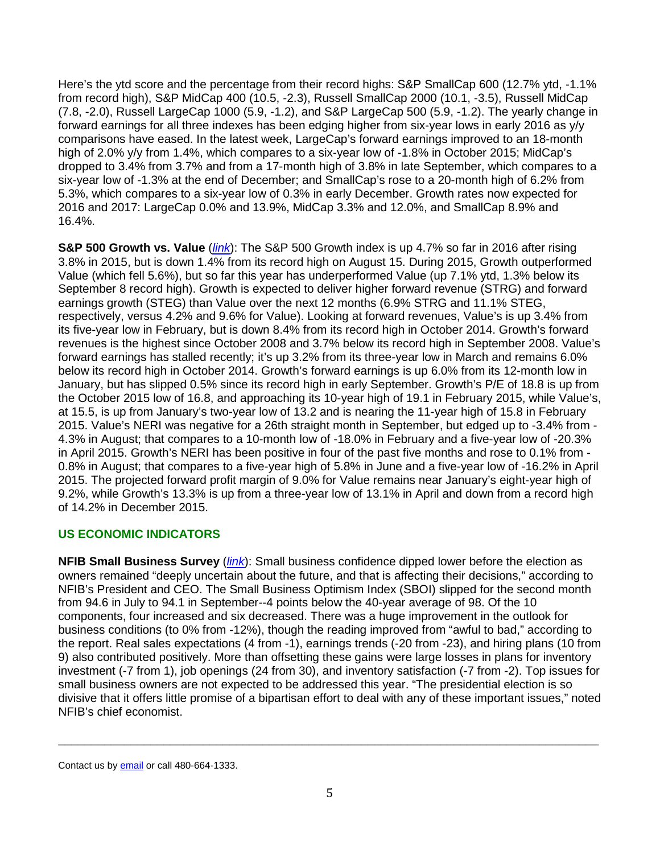Here's the ytd score and the percentage from their record highs: S&P SmallCap 600 (12.7% ytd, -1.1% from record high), S&P MidCap 400 (10.5, -2.3), Russell SmallCap 2000 (10.1, -3.5), Russell MidCap (7.8, -2.0), Russell LargeCap 1000 (5.9, -1.2), and S&P LargeCap 500 (5.9, -1.2). The yearly change in forward earnings for all three indexes has been edging higher from six-year lows in early 2016 as y/y comparisons have eased. In the latest week, LargeCap's forward earnings improved to an 18-month high of 2.0% y/y from 1.4%, which compares to a six-year low of -1.8% in October 2015; MidCap's dropped to 3.4% from 3.7% and from a 17-month high of 3.8% in late September, which compares to a six-year low of -1.3% at the end of December; and SmallCap's rose to a 20-month high of 6.2% from 5.3%, which compares to a six-year low of 0.3% in early December. Growth rates now expected for 2016 and 2017: LargeCap 0.0% and 13.9%, MidCap 3.3% and 12.0%, and SmallCap 8.9% and 16.4%.

**S&P 500 Growth vs. Value** (*[link](http://www.yardeni.com/Pub/style.pdf)*): The S&P 500 Growth index is up 4.7% so far in 2016 after rising 3.8% in 2015, but is down 1.4% from its record high on August 15. During 2015, Growth outperformed Value (which fell 5.6%), but so far this year has underperformed Value (up 7.1% ytd, 1.3% below its September 8 record high). Growth is expected to deliver higher forward revenue (STRG) and forward earnings growth (STEG) than Value over the next 12 months (6.9% STRG and 11.1% STEG, respectively, versus 4.2% and 9.6% for Value). Looking at forward revenues, Value's is up 3.4% from its five-year low in February, but is down 8.4% from its record high in October 2014. Growth's forward revenues is the highest since October 2008 and 3.7% below its record high in September 2008. Value's forward earnings has stalled recently; it's up 3.2% from its three-year low in March and remains 6.0% below its record high in October 2014. Growth's forward earnings is up 6.0% from its 12-month low in January, but has slipped 0.5% since its record high in early September. Growth's P/E of 18.8 is up from the October 2015 low of 16.8, and approaching its 10-year high of 19.1 in February 2015, while Value's, at 15.5, is up from January's two-year low of 13.2 and is nearing the 11-year high of 15.8 in February 2015. Value's NERI was negative for a 26th straight month in September, but edged up to -3.4% from - 4.3% in August; that compares to a 10-month low of -18.0% in February and a five-year low of -20.3% in April 2015. Growth's NERI has been positive in four of the past five months and rose to 0.1% from - 0.8% in August; that compares to a five-year high of 5.8% in June and a five-year low of -16.2% in April 2015. The projected forward profit margin of 9.0% for Value remains near January's eight-year high of 9.2%, while Growth's 13.3% is up from a three-year low of 13.1% in April and down from a record high of 14.2% in December 2015.

## **US ECONOMIC INDICATORS**

**NFIB Small Business Survey** (*[link](http://www.yardeni.com/pub/ECOINDSMBUS.pdf)*): Small business confidence dipped lower before the election as owners remained "deeply uncertain about the future, and that is affecting their decisions," according to NFIB's President and CEO. The Small Business Optimism Index (SBOI) slipped for the second month from 94.6 in July to 94.1 in September--4 points below the 40-year average of 98. Of the 10 components, four increased and six decreased. There was a huge improvement in the outlook for business conditions (to 0% from -12%), though the reading improved from "awful to bad," according to the report. Real sales expectations (4 from -1), earnings trends (-20 from -23), and hiring plans (10 from 9) also contributed positively. More than offsetting these gains were large losses in plans for inventory investment (-7 from 1), job openings (24 from 30), and inventory satisfaction (-7 from -2). Top issues for small business owners are not expected to be addressed this year. "The presidential election is so divisive that it offers little promise of a bipartisan effort to deal with any of these important issues," noted NFIB's chief economist.

\_\_\_\_\_\_\_\_\_\_\_\_\_\_\_\_\_\_\_\_\_\_\_\_\_\_\_\_\_\_\_\_\_\_\_\_\_\_\_\_\_\_\_\_\_\_\_\_\_\_\_\_\_\_\_\_\_\_\_\_\_\_\_\_\_\_\_\_\_\_\_\_\_\_\_\_\_\_\_\_\_\_

Contact us b[y email](mailto:requests@yardeni.com) or call 480-664-1333.